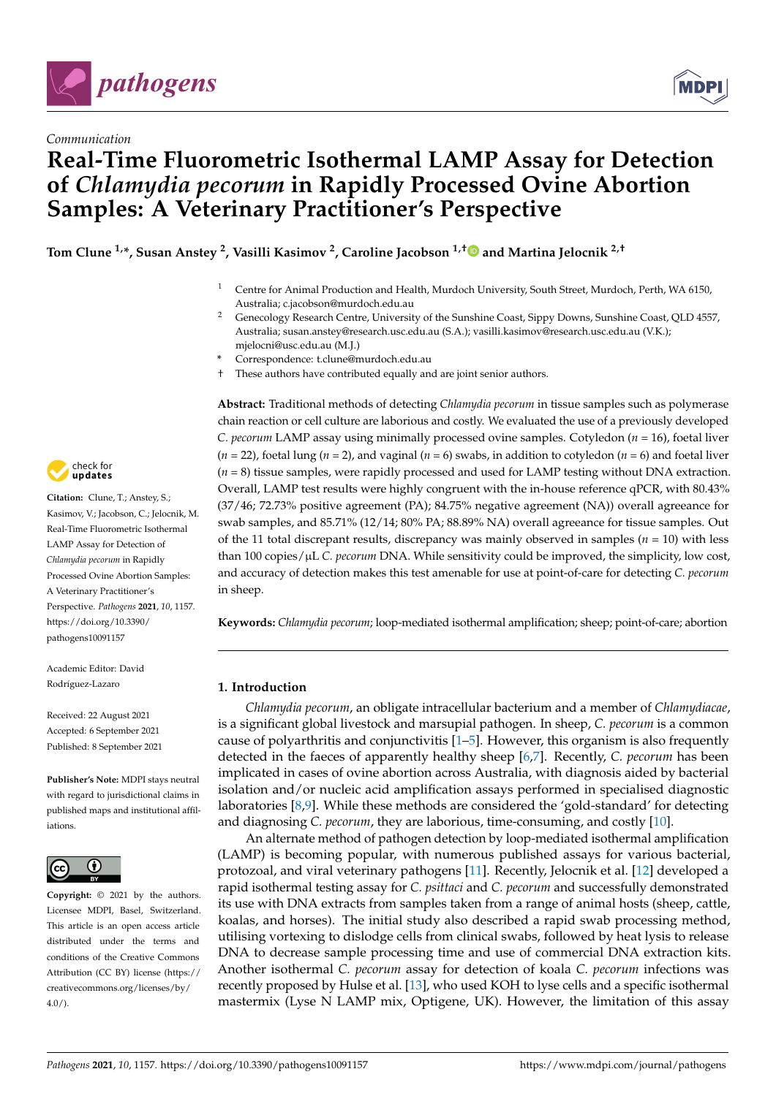



# **Real-Time Fluorometric Isothermal LAMP Assay for Detection of** *Chlamydia pecorum* **in Rapidly Processed Ovine Abortion Samples: A Veterinary Practitioner's Perspective**

**Tom Clune 1,\*, Susan Anstey <sup>2</sup> , Vasilli Kasimov <sup>2</sup> , Caroline Jacobson 1,[†](https://orcid.org/0000-0001-9427-1941) and Martina Jelocnik 2,†**

- <sup>1</sup> Centre for Animal Production and Health, Murdoch University, South Street, Murdoch, Perth, WA 6150, Australia; c.jacobson@murdoch.edu.au
- <sup>2</sup> Genecology Research Centre, University of the Sunshine Coast, Sippy Downs, Sunshine Coast, QLD 4557, Australia; susan.anstey@research.usc.edu.au (S.A.); vasilli.kasimov@research.usc.edu.au (V.K.); mjelocni@usc.edu.au (M.J.)
- **\*** Correspondence: t.clune@murdoch.edu.au
- † These authors have contributed equally and are joint senior authors.

**Abstract:** Traditional methods of detecting *Chlamydia pecorum* in tissue samples such as polymerase chain reaction or cell culture are laborious and costly. We evaluated the use of a previously developed *C. pecorum* LAMP assay using minimally processed ovine samples. Cotyledon (*n* = 16), foetal liver (*n* = 22), foetal lung (*n* = 2), and vaginal (*n* = 6) swabs, in addition to cotyledon (*n* = 6) and foetal liver (*n* = 8) tissue samples, were rapidly processed and used for LAMP testing without DNA extraction. Overall, LAMP test results were highly congruent with the in-house reference qPCR, with 80.43% (37/46; 72.73% positive agreement (PA); 84.75% negative agreement (NA)) overall agreeance for swab samples, and 85.71% (12/14; 80% PA; 88.89% NA) overall agreeance for tissue samples. Out of the 11 total discrepant results, discrepancy was mainly observed in samples ( $n = 10$ ) with less than 100 copies/µL *C. pecorum* DNA. While sensitivity could be improved, the simplicity, low cost, and accuracy of detection makes this test amenable for use at point-of-care for detecting *C. pecorum* in sheep.

**Keywords:** *Chlamydia pecorum*; loop-mediated isothermal amplification; sheep; point-of-care; abortion

# **1. Introduction**

*Chlamydia pecorum*, an obligate intracellular bacterium and a member of *Chlamydiacae*, is a significant global livestock and marsupial pathogen. In sheep, *C. pecorum* is a common cause of polyarthritis and conjunctivitis  $[1–5]$  $[1–5]$ . However, this organism is also frequently detected in the faeces of apparently healthy sheep [\[6,](#page-8-2)[7\]](#page-8-3). Recently, *C. pecorum* has been implicated in cases of ovine abortion across Australia, with diagnosis aided by bacterial isolation and/or nucleic acid amplification assays performed in specialised diagnostic laboratories [\[8,](#page-8-4)[9\]](#page-8-5). While these methods are considered the 'gold-standard' for detecting and diagnosing *C. pecorum*, they are laborious, time-consuming, and costly [\[10\]](#page-8-6).

An alternate method of pathogen detection by loop-mediated isothermal amplification (LAMP) is becoming popular, with numerous published assays for various bacterial, protozoal, and viral veterinary pathogens [\[11\]](#page-8-7). Recently, Jelocnik et al. [\[12\]](#page-8-8) developed a rapid isothermal testing assay for *C. psittaci* and *C. pecorum* and successfully demonstrated its use with DNA extracts from samples taken from a range of animal hosts (sheep, cattle, koalas, and horses). The initial study also described a rapid swab processing method, utilising vortexing to dislodge cells from clinical swabs, followed by heat lysis to release DNA to decrease sample processing time and use of commercial DNA extraction kits. Another isothermal *C. pecorum* assay for detection of koala *C. pecorum* infections was recently proposed by Hulse et al. [\[13\]](#page-8-9), who used KOH to lyse cells and a specific isothermal mastermix (Lyse N LAMP mix, Optigene, UK). However, the limitation of this assay



**Citation:** Clune, T.; Anstey, S.; Kasimov, V.; Jacobson, C.; Jelocnik, M. Real-Time Fluorometric Isothermal LAMP Assay for Detection of *Chlamydia pecorum* in Rapidly Processed Ovine Abortion Samples: A Veterinary Practitioner's Perspective. *Pathogens* **2021**, *10*, 1157. [https://doi.org/10.3390/](https://doi.org/10.3390/pathogens10091157) [pathogens10091157](https://doi.org/10.3390/pathogens10091157)

Academic Editor: David Rodríguez-Lazaro

Received: 22 August 2021 Accepted: 6 September 2021 Published: 8 September 2021

**Publisher's Note:** MDPI stays neutral with regard to jurisdictional claims in published maps and institutional affiliations.



**Copyright:** © 2021 by the authors. Licensee MDPI, Basel, Switzerland. This article is an open access article distributed under the terms and conditions of the Creative Commons Attribution (CC BY) license (https:/[/](https://creativecommons.org/licenses/by/4.0/) [creativecommons.org/licenses/by/](https://creativecommons.org/licenses/by/4.0/)  $4.0/$ ).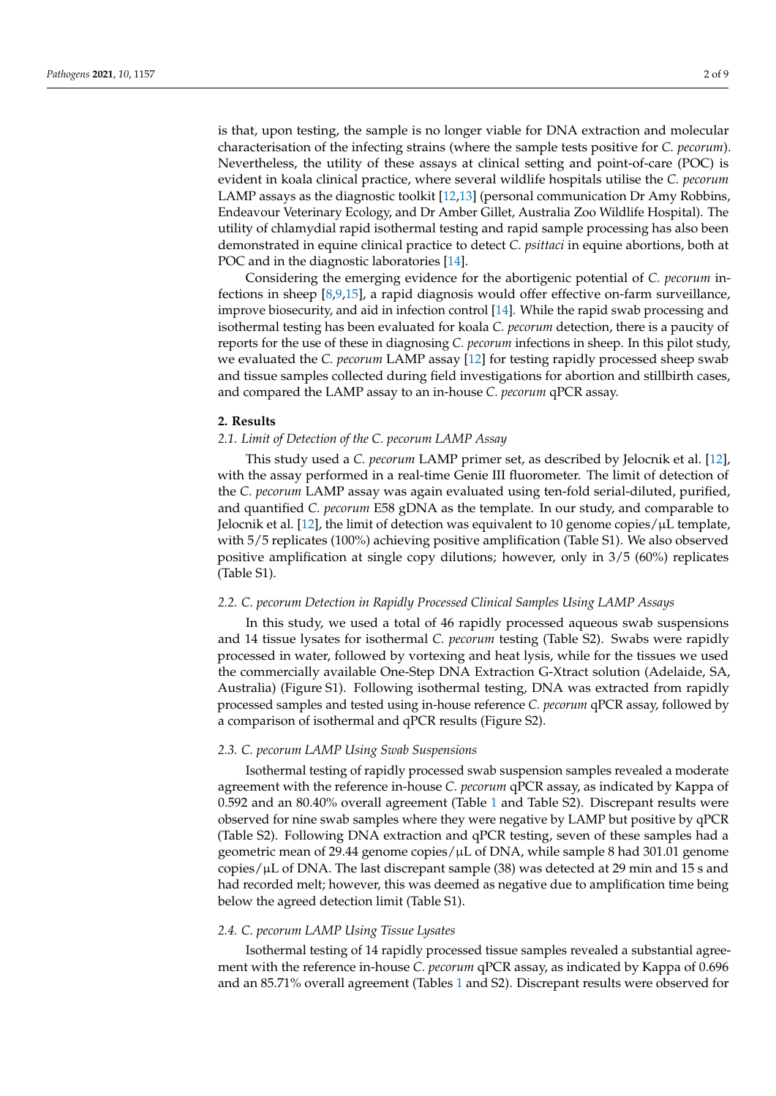is that, upon testing, the sample is no longer viable for DNA extraction and molecular characterisation of the infecting strains (where the sample tests positive for *C. pecorum*). Nevertheless, the utility of these assays at clinical setting and point-of-care (POC) is evident in koala clinical practice, where several wildlife hospitals utilise the *C. pecorum* LAMP assays as the diagnostic toolkit [\[12](#page-8-8)[,13\]](#page-8-9) (personal communication Dr Amy Robbins, Endeavour Veterinary Ecology, and Dr Amber Gillet, Australia Zoo Wildlife Hospital). The utility of chlamydial rapid isothermal testing and rapid sample processing has also been demonstrated in equine clinical practice to detect *C. psittaci* in equine abortions, both at POC and in the diagnostic laboratories [\[14\]](#page-8-10).

Considering the emerging evidence for the abortigenic potential of *C. pecorum* infections in sheep [\[8,](#page-8-4)[9,](#page-8-5)[15\]](#page-8-11), a rapid diagnosis would offer effective on-farm surveillance, improve biosecurity, and aid in infection control [\[14\]](#page-8-10). While the rapid swab processing and isothermal testing has been evaluated for koala *C. pecorum* detection, there is a paucity of reports for the use of these in diagnosing *C. pecorum* infections in sheep. In this pilot study, we evaluated the *C. pecorum* LAMP assay [\[12\]](#page-8-8) for testing rapidly processed sheep swab and tissue samples collected during field investigations for abortion and stillbirth cases, and compared the LAMP assay to an in-house *C. pecorum* qPCR assay.

# **2. Results**

# *2.1. Limit of Detection of the C. pecorum LAMP Assay*

This study used a *C. pecorum* LAMP primer set, as described by Jelocnik et al. [\[12\]](#page-8-8), with the assay performed in a real-time Genie III fluorometer. The limit of detection of the *C. pecorum* LAMP assay was again evaluated using ten-fold serial-diluted, purified, and quantified *C. pecorum* E58 gDNA as the template. In our study, and comparable to Jelocnik et al. [\[12\]](#page-8-8), the limit of detection was equivalent to 10 genome copies/ $\mu$ L template, with 5/5 replicates (100%) achieving positive amplification (Table S1). We also observed positive amplification at single copy dilutions; however, only in 3/5 (60%) replicates (Table S1).

## *2.2. C. pecorum Detection in Rapidly Processed Clinical Samples Using LAMP Assays*

In this study, we used a total of 46 rapidly processed aqueous swab suspensions and 14 tissue lysates for isothermal *C. pecorum* testing (Table S2). Swabs were rapidly processed in water, followed by vortexing and heat lysis, while for the tissues we used the commercially available One-Step DNA Extraction G-Xtract solution (Adelaide, SA, Australia) (Figure S1). Following isothermal testing, DNA was extracted from rapidly processed samples and tested using in-house reference *C. pecorum* qPCR assay, followed by a comparison of isothermal and qPCR results (Figure S2).

# *2.3. C. pecorum LAMP Using Swab Suspensions*

Isothermal testing of rapidly processed swab suspension samples revealed a moderate agreement with the reference in-house *C. pecorum* qPCR assay, as indicated by Kappa of 0.592 and an 80.40% overall agreement (Table [1](#page-2-0) and Table S2). Discrepant results were observed for nine swab samples where they were negative by LAMP but positive by qPCR (Table S2). Following DNA extraction and qPCR testing, seven of these samples had a geometric mean of 29.44 genome copies/µL of DNA, while sample 8 had 301.01 genome copies/µL of DNA. The last discrepant sample (38) was detected at 29 min and 15 s and had recorded melt; however, this was deemed as negative due to amplification time being below the agreed detection limit (Table S1).

# *2.4. C. pecorum LAMP Using Tissue Lysates*

Isothermal testing of 14 rapidly processed tissue samples revealed a substantial agreement with the reference in-house *C. pecorum* qPCR assay, as indicated by Kappa of 0.696 and an 85.71% overall agreement (Tables [1](#page-2-0) and S2). Discrepant results were observed for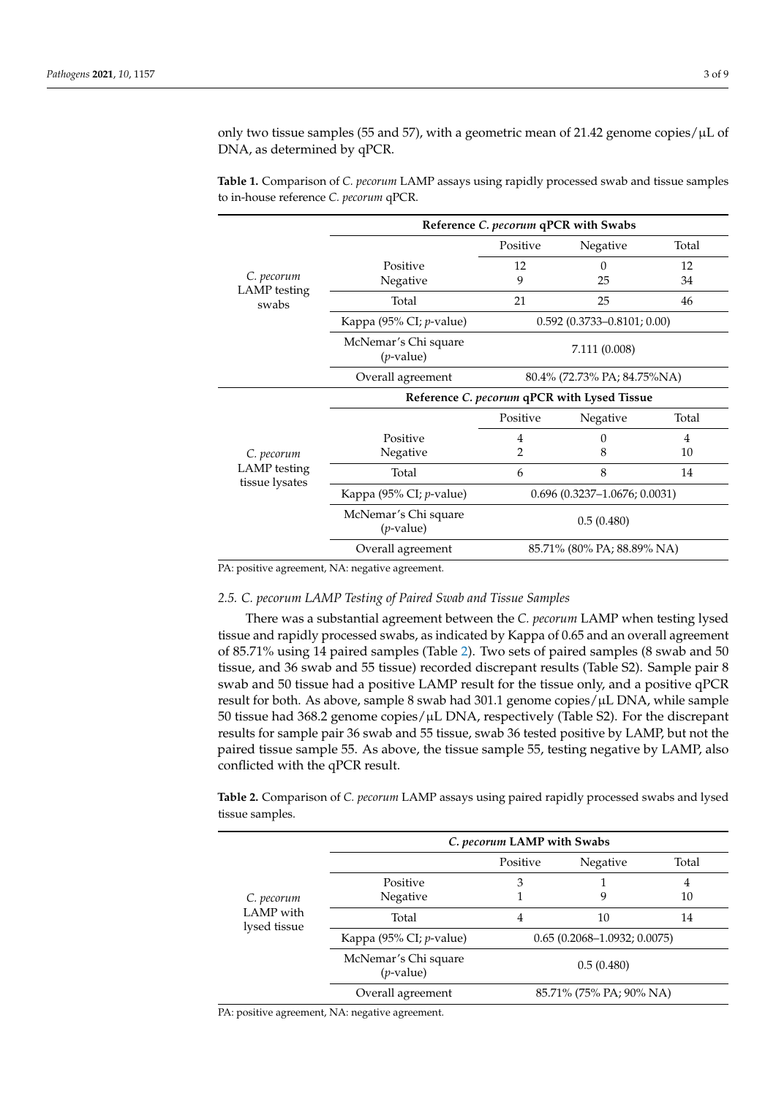only two tissue samples (55 and 57), with a geometric mean of 21.42 genome copies/µL of DNA, as determined by qPCR.

*C. pecorum* LAMP testing swabs **Reference** *C. pecorum* **qPCR with Swabs** Positive Negative Total Positive 12 0 12<br>Negative 9 25 34 Negative 9 25 34 Total 21 25 46 Kappa (95% CI; *p*-value) 0.592 (0.3733–0.8101; 0.00) McNemar's Chi square (*p*-value) 7.111 (0.008) Overall agreement 80.4% (72.73% PA; 84.75%NA) *C. pecorum* LAMP testing tissue lysates **Reference** *C. pecorum* **qPCR with Lysed Tissue** Positive Negative Total Positive 4 0 4 Negative 2 8 10 Total 6  $8$  14 Kappa (95% CI; *p*-value) 0.696 (0.3237–1.0676; 0.0031) McNemar's Chi square (*p*-value) 0.5 (0.480) Overall agreement 85.71% (80% PA; 88.89% NA)

<span id="page-2-0"></span>**Table 1.** Comparison of *C. pecorum* LAMP assays using rapidly processed swab and tissue samples to in-house reference *C. pecorum* qPCR.

PA: positive agreement, NA: negative agreement.

# *2.5. C. pecorum LAMP Testing of Paired Swab and Tissue Samples*

There was a substantial agreement between the *C. pecorum* LAMP when testing lysed tissue and rapidly processed swabs, as indicated by Kappa of 0.65 and an overall agreement of 85.71% using 14 paired samples (Table [2\)](#page-2-1). Two sets of paired samples (8 swab and 50 tissue, and 36 swab and 55 tissue) recorded discrepant results (Table S2). Sample pair 8 swab and 50 tissue had a positive LAMP result for the tissue only, and a positive qPCR result for both. As above, sample 8 swab had 301.1 genome copies/µL DNA, while sample 50 tissue had 368.2 genome copies/µL DNA, respectively (Table S2). For the discrepant results for sample pair 36 swab and 55 tissue, swab 36 tested positive by LAMP, but not the paired tissue sample 55. As above, the tissue sample 55, testing negative by LAMP, also conflicted with the qPCR result.

<span id="page-2-1"></span>**Table 2.** Comparison of *C. pecorum* LAMP assays using paired rapidly processed swabs and lysed tissue samples.

| C. pecorum<br>LAMP with<br>lysed tissue | C. pecorum LAMP with Swabs           |                                 |                         |       |
|-----------------------------------------|--------------------------------------|---------------------------------|-------------------------|-------|
|                                         |                                      | Positive                        | Negative                | Total |
|                                         | Positive                             | 3                               |                         | 4     |
|                                         | Negative                             |                                 | 9                       | 10    |
|                                         | Total                                | 4                               | 10                      | 14    |
|                                         | Kappa (95% CI; <i>p</i> -value)      | $0.65(0.2068 - 1.0932; 0.0075)$ |                         |       |
|                                         | McNemar's Chi square<br>$(p$ -value) | 0.5(0.480)                      |                         |       |
|                                         | Overall agreement                    |                                 | 85.71% (75% PA; 90% NA) |       |

PA: positive agreement, NA: negative agreement.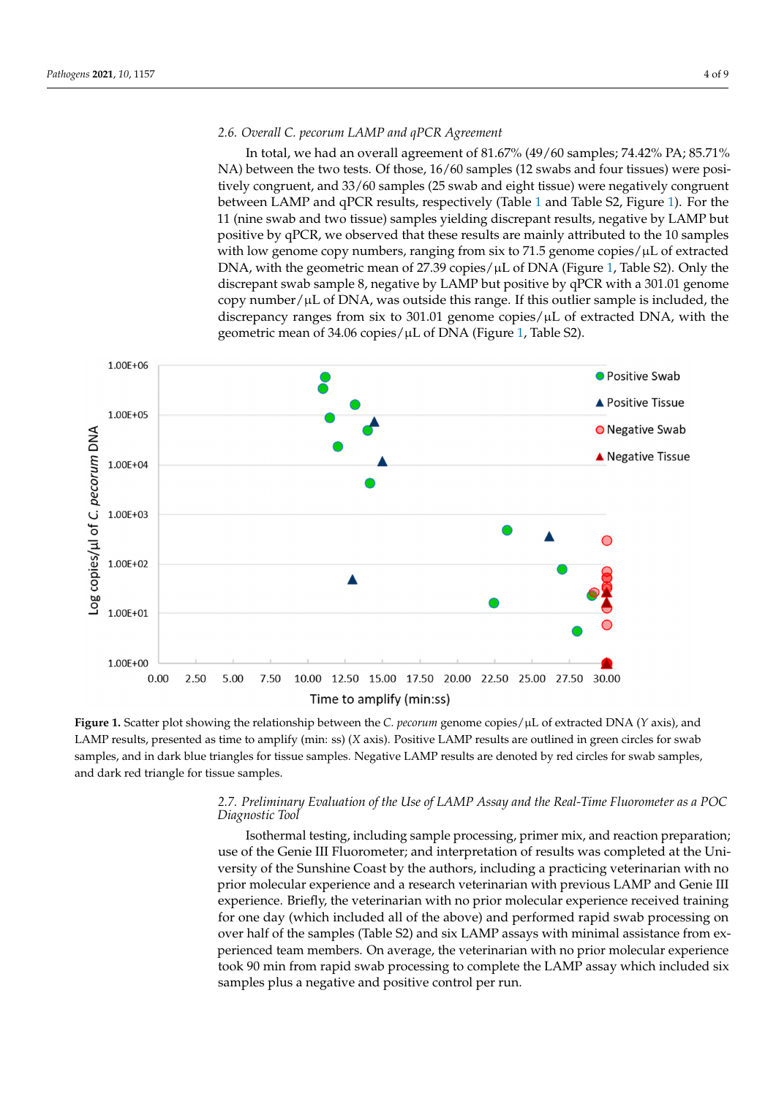# *2.6. Overall C. pecorum LAMP and qPCR Agreement*

In total, we had an overall agreement of 81.67% (49/60 samples; 74.42% PA; 85.71% NA) between the two tests. Of those, 16/60 samples (12 swabs and four tissues) were positively congruent, and 33/60 samples (25 swab and eight tissue) were negatively congruent between LAMP and qPCR results, respectively (Table [1](#page-2-0) and Table S2, Figure [1\)](#page-3-0). For the 11 (nine swab and two tissue) samples yielding discrepant results, negative by LAMP but positive by qPCR, we observed that these results are mainly attributed to the 10 samples with low genome copy numbers, ranging from six to  $71.5$  genome copies/ $\mu$ L of extracted DNA, with the geometric mean of 27.39 copies/ $\mu$ L of DNA (Figure [1,](#page-3-0) Table S2). Only the discrepant swab sample 8, negative by LAMP but positive by qPCR with a 301.01 genome copy number/ $\mu$ L of DNA, was outside this range. If this outlier sample is included, the discrepancy ranges from six to 301.01 genome copies/ $\mu$ L of extracted DNA, with the geometric mean of 34.06 copies/µL of DNA (Figure [1,](#page-3-0) Table S2).

<span id="page-3-0"></span>

Figure 1. Scatter plot showing the relationship between the C. *pecorum* genome copies/µL of extracted DNA (Y axis), and LAMP results, presented as time to amplify (min: ss) (X axis). Positive LAMP results are outlined in green circles for swab samples, and in dark blue triangles for tissue samples. Negative LAMP results are denoted by red circles for swab samples, and dark red triangle for tissue samples. and dark red triangle for tissue samples.

# 2.7. Preliminary Evaluation of the Use of LAMP Assay and the Real-Time Fluorometer as a POC *Diagnostic Tool Diagnostic Tool*

Isothermal testing, including sample processing, primer mix, and reaction Isothermal testing, including sample processing, primer mix, and reaction preparation; use of the Genie III Fluorometer; and interpretation of results was completed at the University of the Sunshine Coast by the authors, including a practicing veterinarian with no prior molecular experience and a research veterinarian with previous LAMP and Genie III experience. Briefly, the veterinarian with no prior molecular experience received training for one day (which included all of the above) and performed rapid swab processing on over half of the samples (Table S2) and six LAMP assays with minimal assistance from experienced team members. On average, the veterinarian with no prior molecular experience took 90 min from rapid swab processing to complete the LAMP assay which included six samples plus a negative and positive control per run.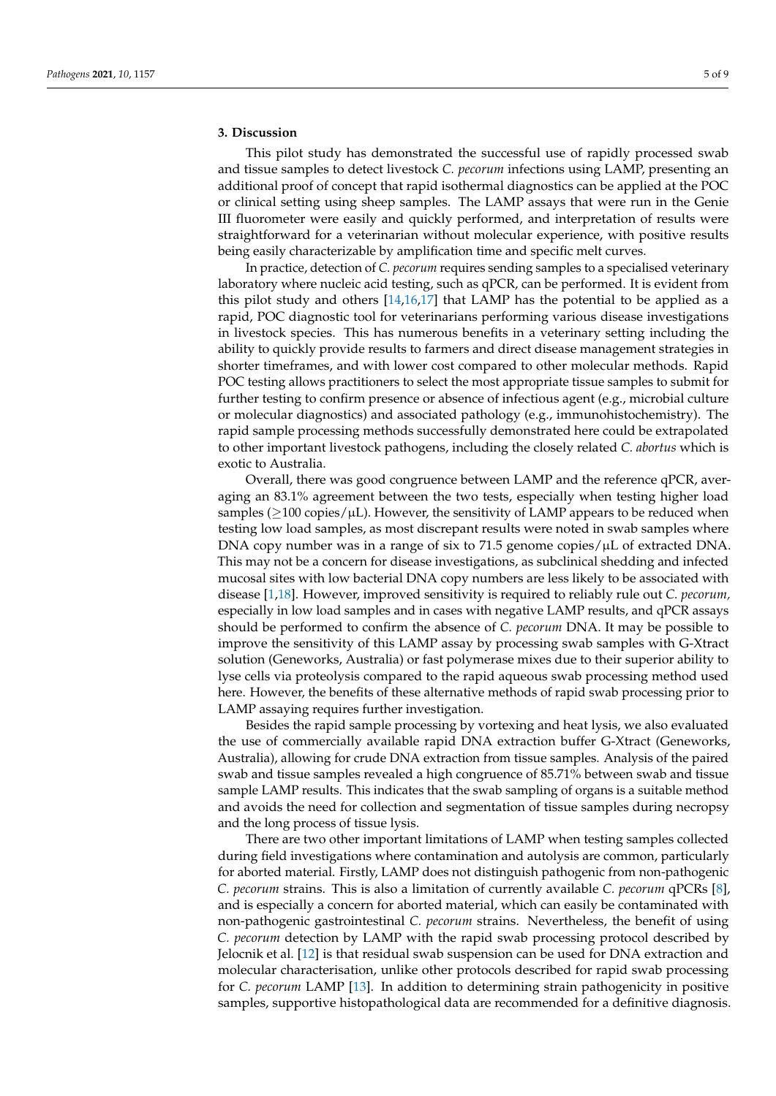# **3. Discussion**

This pilot study has demonstrated the successful use of rapidly processed swab and tissue samples to detect livestock *C. pecorum* infections using LAMP, presenting an additional proof of concept that rapid isothermal diagnostics can be applied at the POC or clinical setting using sheep samples. The LAMP assays that were run in the Genie III fluorometer were easily and quickly performed, and interpretation of results were straightforward for a veterinarian without molecular experience, with positive results being easily characterizable by amplification time and specific melt curves.

In practice, detection of *C. pecorum* requires sending samples to a specialised veterinary laboratory where nucleic acid testing, such as qPCR, can be performed. It is evident from this pilot study and others [\[14](#page-8-10)[,16](#page-8-12)[,17\]](#page-8-13) that LAMP has the potential to be applied as a rapid, POC diagnostic tool for veterinarians performing various disease investigations in livestock species. This has numerous benefits in a veterinary setting including the ability to quickly provide results to farmers and direct disease management strategies in shorter timeframes, and with lower cost compared to other molecular methods. Rapid POC testing allows practitioners to select the most appropriate tissue samples to submit for further testing to confirm presence or absence of infectious agent (e.g., microbial culture or molecular diagnostics) and associated pathology (e.g., immunohistochemistry). The rapid sample processing methods successfully demonstrated here could be extrapolated to other important livestock pathogens, including the closely related *C. abortus* which is exotic to Australia.

Overall, there was good congruence between LAMP and the reference qPCR, averaging an 83.1% agreement between the two tests, especially when testing higher load samples ( $\geq$ 100 copies/ $\mu$ L). However, the sensitivity of LAMP appears to be reduced when testing low load samples, as most discrepant results were noted in swab samples where DNA copy number was in a range of six to 71.5 genome copies/ $\mu$ L of extracted DNA. This may not be a concern for disease investigations, as subclinical shedding and infected mucosal sites with low bacterial DNA copy numbers are less likely to be associated with disease [\[1](#page-8-0)[,18\]](#page-8-14). However, improved sensitivity is required to reliably rule out *C. pecorum,* especially in low load samples and in cases with negative LAMP results, and qPCR assays should be performed to confirm the absence of *C. pecorum* DNA. It may be possible to improve the sensitivity of this LAMP assay by processing swab samples with G-Xtract solution (Geneworks, Australia) or fast polymerase mixes due to their superior ability to lyse cells via proteolysis compared to the rapid aqueous swab processing method used here. However, the benefits of these alternative methods of rapid swab processing prior to LAMP assaying requires further investigation.

Besides the rapid sample processing by vortexing and heat lysis, we also evaluated the use of commercially available rapid DNA extraction buffer G-Xtract (Geneworks, Australia), allowing for crude DNA extraction from tissue samples. Analysis of the paired swab and tissue samples revealed a high congruence of 85.71% between swab and tissue sample LAMP results. This indicates that the swab sampling of organs is a suitable method and avoids the need for collection and segmentation of tissue samples during necropsy and the long process of tissue lysis.

There are two other important limitations of LAMP when testing samples collected during field investigations where contamination and autolysis are common, particularly for aborted material. Firstly, LAMP does not distinguish pathogenic from non-pathogenic *C. pecorum* strains. This is also a limitation of currently available *C. pecorum* qPCRs [\[8\]](#page-8-4), and is especially a concern for aborted material, which can easily be contaminated with non-pathogenic gastrointestinal *C. pecorum* strains. Nevertheless, the benefit of using *C. pecorum* detection by LAMP with the rapid swab processing protocol described by Jelocnik et al. [\[12\]](#page-8-8) is that residual swab suspension can be used for DNA extraction and molecular characterisation, unlike other protocols described for rapid swab processing for *C. pecorum* LAMP [\[13\]](#page-8-9). In addition to determining strain pathogenicity in positive samples, supportive histopathological data are recommended for a definitive diagnosis.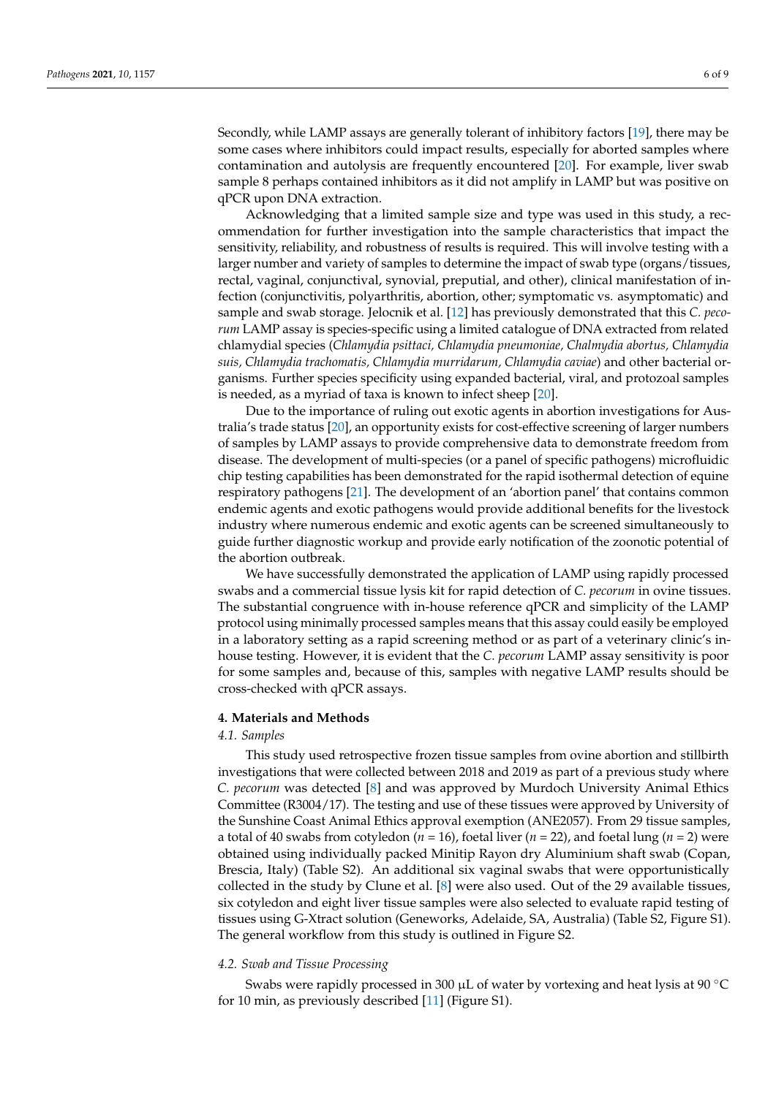Secondly, while LAMP assays are generally tolerant of inhibitory factors [\[19\]](#page-8-15), there may be some cases where inhibitors could impact results, especially for aborted samples where contamination and autolysis are frequently encountered [\[20\]](#page-8-16). For example, liver swab sample 8 perhaps contained inhibitors as it did not amplify in LAMP but was positive on qPCR upon DNA extraction.

Acknowledging that a limited sample size and type was used in this study, a recommendation for further investigation into the sample characteristics that impact the sensitivity, reliability, and robustness of results is required. This will involve testing with a larger number and variety of samples to determine the impact of swab type (organs/tissues, rectal, vaginal, conjunctival, synovial, preputial, and other), clinical manifestation of infection (conjunctivitis, polyarthritis, abortion, other; symptomatic vs. asymptomatic) and sample and swab storage. Jelocnik et al. [\[12\]](#page-8-8) has previously demonstrated that this *C. pecorum* LAMP assay is species-specific using a limited catalogue of DNA extracted from related chlamydial species (*Chlamydia psittaci, Chlamydia pneumoniae, Chalmydia abortus, Chlamydia suis, Chlamydia trachomatis, Chlamydia murridarum, Chlamydia caviae*) and other bacterial organisms. Further species specificity using expanded bacterial, viral, and protozoal samples is needed, as a myriad of taxa is known to infect sheep [\[20\]](#page-8-16).

Due to the importance of ruling out exotic agents in abortion investigations for Australia's trade status [\[20\]](#page-8-16), an opportunity exists for cost-effective screening of larger numbers of samples by LAMP assays to provide comprehensive data to demonstrate freedom from disease. The development of multi-species (or a panel of specific pathogens) microfluidic chip testing capabilities has been demonstrated for the rapid isothermal detection of equine respiratory pathogens [\[21\]](#page-8-17). The development of an 'abortion panel' that contains common endemic agents and exotic pathogens would provide additional benefits for the livestock industry where numerous endemic and exotic agents can be screened simultaneously to guide further diagnostic workup and provide early notification of the zoonotic potential of the abortion outbreak.

We have successfully demonstrated the application of LAMP using rapidly processed swabs and a commercial tissue lysis kit for rapid detection of *C. pecorum* in ovine tissues. The substantial congruence with in-house reference qPCR and simplicity of the LAMP protocol using minimally processed samples means that this assay could easily be employed in a laboratory setting as a rapid screening method or as part of a veterinary clinic's inhouse testing. However, it is evident that the *C. pecorum* LAMP assay sensitivity is poor for some samples and, because of this, samples with negative LAMP results should be cross-checked with qPCR assays.

#### **4. Materials and Methods**

### *4.1. Samples*

This study used retrospective frozen tissue samples from ovine abortion and stillbirth investigations that were collected between 2018 and 2019 as part of a previous study where *C. pecorum* was detected [\[8\]](#page-8-4) and was approved by Murdoch University Animal Ethics Committee (R3004/17). The testing and use of these tissues were approved by University of the Sunshine Coast Animal Ethics approval exemption (ANE2057). From 29 tissue samples, a total of 40 swabs from cotyledon ( $n = 16$ ), foetal liver ( $n = 22$ ), and foetal lung ( $n = 2$ ) were obtained using individually packed Minitip Rayon dry Aluminium shaft swab (Copan, Brescia, Italy) (Table S2). An additional six vaginal swabs that were opportunistically collected in the study by Clune et al. [\[8\]](#page-8-4) were also used. Out of the 29 available tissues, six cotyledon and eight liver tissue samples were also selected to evaluate rapid testing of tissues using G-Xtract solution (Geneworks, Adelaide, SA, Australia) (Table S2, Figure S1). The general workflow from this study is outlined in Figure S2.

#### *4.2. Swab and Tissue Processing*

Swabs were rapidly processed in 300  $\mu$ L of water by vortexing and heat lysis at 90 °C for 10 min, as previously described [\[11\]](#page-8-7) (Figure S1).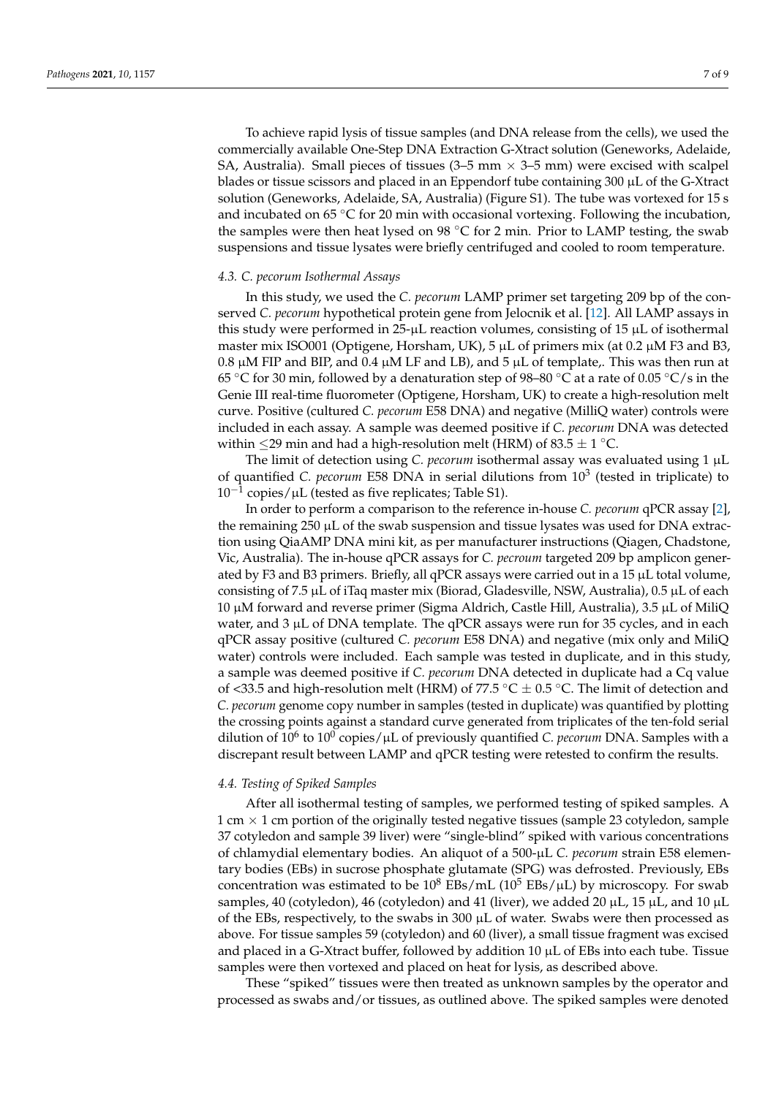To achieve rapid lysis of tissue samples (and DNA release from the cells), we used the commercially available One-Step DNA Extraction G-Xtract solution (Geneworks, Adelaide, SA, Australia). Small pieces of tissues  $(3-5 \text{ mm} \times 3-5 \text{ mm})$  were excised with scalpel blades or tissue scissors and placed in an Eppendorf tube containing 300 µL of the G-Xtract solution (Geneworks, Adelaide, SA, Australia) (Figure S1). The tube was vortexed for 15 s and incubated on 65 °C for 20 min with occasional vortexing. Following the incubation, the samples were then heat lysed on 98  $°C$  for 2 min. Prior to LAMP testing, the swab suspensions and tissue lysates were briefly centrifuged and cooled to room temperature.

# *4.3. C. pecorum Isothermal Assays*

In this study, we used the *C. pecorum* LAMP primer set targeting 209 bp of the conserved *C. pecorum* hypothetical protein gene from Jelocnik et al. [\[12\]](#page-8-8). All LAMP assays in this study were performed in  $25-\mu L$  reaction volumes, consisting of 15  $\mu L$  of isothermal master mix ISO001 (Optigene, Horsham, UK),  $5 \mu L$  of primers mix (at 0.2  $\mu$ M F3 and B3, 0.8  $\mu$ M FIP and BIP, and 0.4  $\mu$ M LF and LB), and 5  $\mu$ L of template,. This was then run at 65 °C for 30 min, followed by a denaturation step of 98–80 °C at a rate of 0.05 °C/s in the Genie III real-time fluorometer (Optigene, Horsham, UK) to create a high-resolution melt curve. Positive (cultured *C. pecorum* E58 DNA) and negative (MilliQ water) controls were included in each assay. A sample was deemed positive if *C. pecorum* DNA was detected within  $\leq$ 29 min and had a high-resolution melt (HRM) of 83.5  $\pm$  1 °C.

The limit of detection using *C. pecorum* isothermal assay was evaluated using 1 µL of quantified *C. pecorum* E58 DNA in serial dilutions from 10<sup>3</sup> (tested in triplicate) to  $10^{-1}$ copies/µL (tested as five replicates; Table S1).

In order to perform a comparison to the reference in-house *C. pecorum* qPCR assay [\[2\]](#page-8-18), the remaining  $250 \mu L$  of the swab suspension and tissue lysates was used for DNA extraction using QiaAMP DNA mini kit, as per manufacturer instructions (Qiagen, Chadstone, Vic, Australia). The in-house qPCR assays for *C. pecroum* targeted 209 bp amplicon generated by F3 and B3 primers. Briefly, all qPCR assays were carried out in a 15  $\mu$ L total volume, consisting of 7.5  $\mu$ L of iTaq master mix (Biorad, Gladesville, NSW, Australia), 0.5  $\mu$ L of each 10  $\mu$ M forward and reverse primer (Sigma Aldrich, Castle Hill, Australia), 3.5  $\mu$ L of MiliQ water, and  $3 \mu$ L of DNA template. The qPCR assays were run for  $35$  cycles, and in each qPCR assay positive (cultured *C. pecorum* E58 DNA) and negative (mix only and MiliQ water) controls were included. Each sample was tested in duplicate, and in this study, a sample was deemed positive if *C. pecorum* DNA detected in duplicate had a Cq value of <33.5 and high-resolution melt (HRM) of 77.5 °C  $\pm$  0.5 °C. The limit of detection and *C. pecorum* genome copy number in samples (tested in duplicate) was quantified by plotting the crossing points against a standard curve generated from triplicates of the ten-fold serial dilution of 10<sup>6</sup> to 10<sup>0</sup> copies/µL of previously quantified *C. pecorum* DNA. Samples with a discrepant result between LAMP and qPCR testing were retested to confirm the results.

### *4.4. Testing of Spiked Samples*

After all isothermal testing of samples, we performed testing of spiked samples. A 1 cm  $\times$  1 cm portion of the originally tested negative tissues (sample 23 cotyledon, sample 37 cotyledon and sample 39 liver) were "single-blind" spiked with various concentrations of chlamydial elementary bodies. An aliquot of a 500-µL *C. pecorum* strain E58 elementary bodies (EBs) in sucrose phosphate glutamate (SPG) was defrosted. Previously, EBs concentration was estimated to be  $10^8$  EBs/mL ( $10^5$  EBs/ $\mu$ L) by microscopy. For swab samples, 40 (cotyledon), 46 (cotyledon) and 41 (liver), we added 20  $\mu$ L, 15  $\mu$ L, and 10  $\mu$ L of the EBs, respectively, to the swabs in  $300 \mu L$  of water. Swabs were then processed as above. For tissue samples 59 (cotyledon) and 60 (liver), a small tissue fragment was excised and placed in a G-Xtract buffer, followed by addition  $10 \mu$ L of EBs into each tube. Tissue samples were then vortexed and placed on heat for lysis, as described above.

These "spiked" tissues were then treated as unknown samples by the operator and processed as swabs and/or tissues, as outlined above. The spiked samples were denoted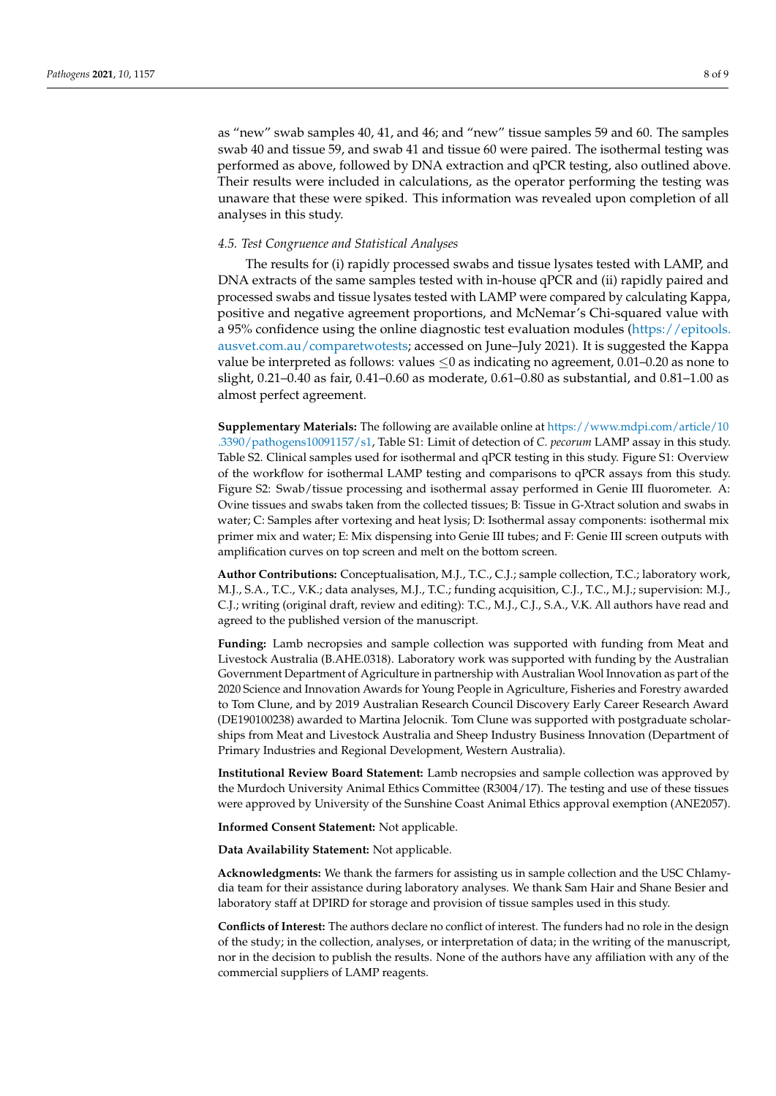as "new" swab samples 40, 41, and 46; and "new" tissue samples 59 and 60. The samples swab 40 and tissue 59, and swab 41 and tissue 60 were paired. The isothermal testing was performed as above, followed by DNA extraction and qPCR testing, also outlined above. Their results were included in calculations, as the operator performing the testing was unaware that these were spiked. This information was revealed upon completion of all analyses in this study.

## *4.5. Test Congruence and Statistical Analyses*

The results for (i) rapidly processed swabs and tissue lysates tested with LAMP, and DNA extracts of the same samples tested with in-house qPCR and (ii) rapidly paired and processed swabs and tissue lysates tested with LAMP were compared by calculating Kappa, positive and negative agreement proportions, and McNemar's Chi-squared value with a 95% confidence using the online diagnostic test evaluation modules [\(https://epitools.](https://epitools.ausvet.com.au/comparetwotests) [ausvet.com.au/comparetwotests;](https://epitools.ausvet.com.au/comparetwotests) accessed on June–July 2021). It is suggested the Kappa value be interpreted as follows: values  $\leq 0$  as indicating no agreement, 0.01–0.20 as none to slight, 0.21–0.40 as fair, 0.41–0.60 as moderate, 0.61–0.80 as substantial, and 0.81–1.00 as almost perfect agreement.

**Supplementary Materials:** The following are available online at [https://www.mdpi.com/article/10](https://www.mdpi.com/article/10.3390/pathogens10091157/s1) [.3390/pathogens10091157/s1,](https://www.mdpi.com/article/10.3390/pathogens10091157/s1) Table S1: Limit of detection of *C. pecorum* LAMP assay in this study. Table S2. Clinical samples used for isothermal and qPCR testing in this study. Figure S1: Overview of the workflow for isothermal LAMP testing and comparisons to qPCR assays from this study. Figure S2: Swab/tissue processing and isothermal assay performed in Genie III fluorometer. A: Ovine tissues and swabs taken from the collected tissues; B: Tissue in G-Xtract solution and swabs in water; C: Samples after vortexing and heat lysis; D: Isothermal assay components: isothermal mix primer mix and water; E: Mix dispensing into Genie III tubes; and F: Genie III screen outputs with amplification curves on top screen and melt on the bottom screen.

**Author Contributions:** Conceptualisation, M.J., T.C., C.J.; sample collection, T.C.; laboratory work, M.J., S.A., T.C., V.K.; data analyses, M.J., T.C.; funding acquisition, C.J., T.C., M.J.; supervision: M.J., C.J.; writing (original draft, review and editing): T.C., M.J., C.J., S.A., V.K. All authors have read and agreed to the published version of the manuscript.

**Funding:** Lamb necropsies and sample collection was supported with funding from Meat and Livestock Australia (B.AHE.0318). Laboratory work was supported with funding by the Australian Government Department of Agriculture in partnership with Australian Wool Innovation as part of the 2020 Science and Innovation Awards for Young People in Agriculture, Fisheries and Forestry awarded to Tom Clune, and by 2019 Australian Research Council Discovery Early Career Research Award (DE190100238) awarded to Martina Jelocnik. Tom Clune was supported with postgraduate scholarships from Meat and Livestock Australia and Sheep Industry Business Innovation (Department of Primary Industries and Regional Development, Western Australia).

**Institutional Review Board Statement:** Lamb necropsies and sample collection was approved by the Murdoch University Animal Ethics Committee (R3004/17). The testing and use of these tissues were approved by University of the Sunshine Coast Animal Ethics approval exemption (ANE2057).

**Informed Consent Statement:** Not applicable.

**Data Availability Statement:** Not applicable.

**Acknowledgments:** We thank the farmers for assisting us in sample collection and the USC Chlamydia team for their assistance during laboratory analyses. We thank Sam Hair and Shane Besier and laboratory staff at DPIRD for storage and provision of tissue samples used in this study.

**Conflicts of Interest:** The authors declare no conflict of interest. The funders had no role in the design of the study; in the collection, analyses, or interpretation of data; in the writing of the manuscript, nor in the decision to publish the results. None of the authors have any affiliation with any of the commercial suppliers of LAMP reagents.